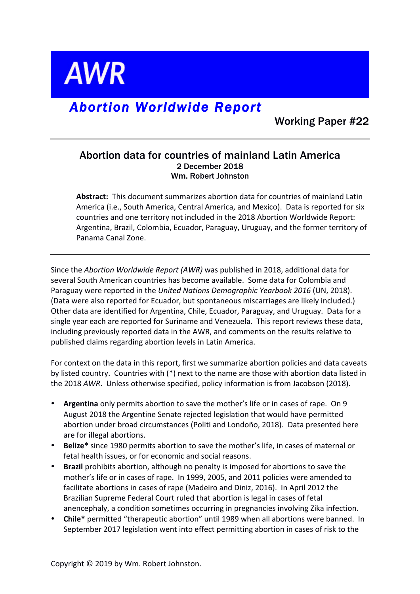**AWR** 

# *Abortion Worldwide Report*

Working Paper #22

## Abortion data for countries of mainland Latin America 2 December 2018 Wm. Robert Johnston

Abstract: This document summarizes abortion data for countries of mainland Latin America (i.e., South America, Central America, and Mexico). Data is reported for six countries and one territory not included in the 2018 Abortion Worldwide Report: Argentina, Brazil, Colombia, Ecuador, Paraguay, Uruguay, and the former territory of Panama Canal Zone.

Since the *Abortion Worldwide Report (AWR)* was published in 2018, additional data for several South American countries has become available. Some data for Colombia and Paraguay were reported in the *United Nations Demographic Yearbook 2016* (UN, 2018). (Data were also reported for Ecuador, but spontaneous miscarriages are likely included.) Other data are identified for Argentina, Chile, Ecuador, Paraguay, and Uruguay. Data for a single year each are reported for Suriname and Venezuela. This report reviews these data, including previously reported data in the AWR, and comments on the results relative to published claims regarding abortion levels in Latin America.

For context on the data in this report, first we summarize abortion policies and data caveats by listed country. Countries with (\*) next to the name are those with abortion data listed in the 2018 AWR. Unless otherwise specified, policy information is from Jacobson (2018).

- Argentina only permits abortion to save the mother's life or in cases of rape. On 9 August 2018 the Argentine Senate rejected legislation that would have permitted abortion under broad circumstances (Politi and Londoño, 2018). Data presented here are for illegal abortions.
- Belize<sup>\*</sup> since 1980 permits abortion to save the mother's life, in cases of maternal or fetal health issues, or for economic and social reasons.
- **Brazil** prohibits abortion, although no penalty is imposed for abortions to save the mother's life or in cases of rape. In 1999, 2005, and 2011 policies were amended to facilitate abortions in cases of rape (Madeiro and Diniz, 2016). In April 2012 the Brazilian Supreme Federal Court ruled that abortion is legal in cases of fetal anencephaly, a condition sometimes occurring in pregnancies involving Zika infection.
- Chile\* permitted "therapeutic abortion" until 1989 when all abortions were banned. In September 2017 legislation went into effect permitting abortion in cases of risk to the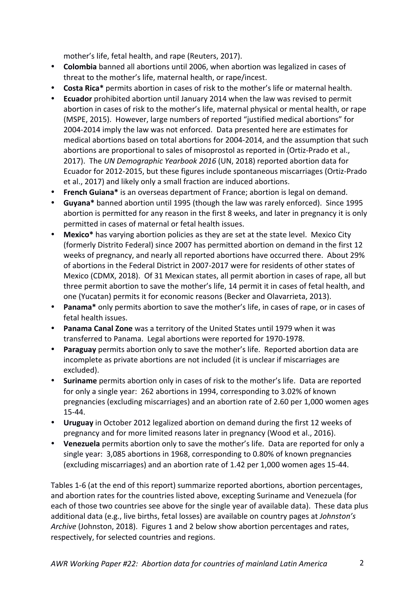mother's life, fetal health, and rape (Reuters, 2017).

- **Colombia** banned all abortions until 2006, when abortion was legalized in cases of threat to the mother's life, maternal health, or rape/incest.
- Costa Rica\* permits abortion in cases of risk to the mother's life or maternal health.
- **Ecuador** prohibited abortion until January 2014 when the law was revised to permit abortion in cases of risk to the mother's life, maternal physical or mental health, or rape (MSPE, 2015). However, large numbers of reported "justified medical abortions" for 2004-2014 imply the law was not enforced. Data presented here are estimates for medical abortions based on total abortions for 2004-2014, and the assumption that such abortions are proportional to sales of misoprostol as reported in (Ortiz-Prado et al., 2017). The UN Demographic Yearbook 2016 (UN, 2018) reported abortion data for Ecuador for 2012-2015, but these figures include spontaneous miscarriages (Ortiz-Prado et al., 2017) and likely only a small fraction are induced abortions.
- **French Guiana**\* is an overseas department of France; abortion is legal on demand.
- Guyana<sup>\*</sup> banned abortion until 1995 (though the law was rarely enforced). Since 1995 abortion is permitted for any reason in the first 8 weeks, and later in pregnancy it is only permitted in cases of maternal or fetal health issues.
- **Mexico**\* has varying abortion policies as they are set at the state level. Mexico City (formerly Distrito Federal) since 2007 has permitted abortion on demand in the first 12 weeks of pregnancy, and nearly all reported abortions have occurred there. About 29% of abortions in the Federal District in 2007-2017 were for residents of other states of Mexico (CDMX, 2018). Of 31 Mexican states, all permit abortion in cases of rape, all but three permit abortion to save the mother's life, 14 permit it in cases of fetal health, and one (Yucatan) permits it for economic reasons (Becker and Olavarrieta, 2013).
- **Panama**\* only permits abortion to save the mother's life, in cases of rape, or in cases of fetal health issues.
- **Panama Canal Zone** was a territory of the United States until 1979 when it was transferred to Panama. Legal abortions were reported for 1970-1978.
- Paraguay permits abortion only to save the mother's life. Reported abortion data are incomplete as private abortions are not included (it is unclear if miscarriages are excluded).
- **Suriname** permits abortion only in cases of risk to the mother's life. Data are reported for only a single year: 262 abortions in 1994, corresponding to 3.02% of known pregnancies (excluding miscarriages) and an abortion rate of 2.60 per 1,000 women ages 15-44.
- Uruguay in October 2012 legalized abortion on demand during the first 12 weeks of pregnancy and for more limited reasons later in pregnancy (Wood et al., 2016).
- Venezuela permits abortion only to save the mother's life. Data are reported for only a single year:  $3,085$  abortions in 1968, corresponding to 0.80% of known pregnancies (excluding miscarriages) and an abortion rate of 1.42 per 1,000 women ages 15-44.

Tables 1-6 (at the end of this report) summarize reported abortions, abortion percentages, and abortion rates for the countries listed above, excepting Suriname and Venezuela (for each of those two countries see above for the single year of available data). These data plus additional data (e.g., live births, fetal losses) are available on country pages at *Johnston's Archive* (Johnston, 2018). Figures 1 and 2 below show abortion percentages and rates, respectively, for selected countries and regions.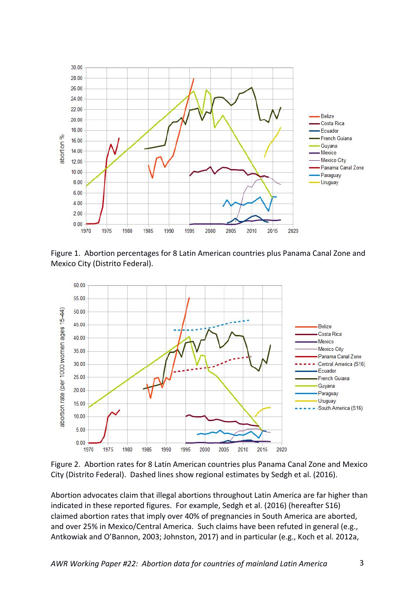

Figure 1. Abortion percentages for 8 Latin American countries plus Panama Canal Zone and Mexico City (Distrito Federal).



Figure 2. Abortion rates for 8 Latin American countries plus Panama Canal Zone and Mexico City (Distrito Federal). Dashed lines show regional estimates by Sedgh et al. (2016).

Abortion advocates claim that illegal abortions throughout Latin America are far higher than indicated in these reported figures. For example, Sedgh et al. (2016) (hereafter S16) claimed abortion rates that imply over 40% of pregnancies in South America are aborted, and over 25% in Mexico/Central America. Such claims have been refuted in general (e.g., Antkowiak and O'Bannon, 2003; Johnston, 2017) and in particular (e.g., Koch et al. 2012a,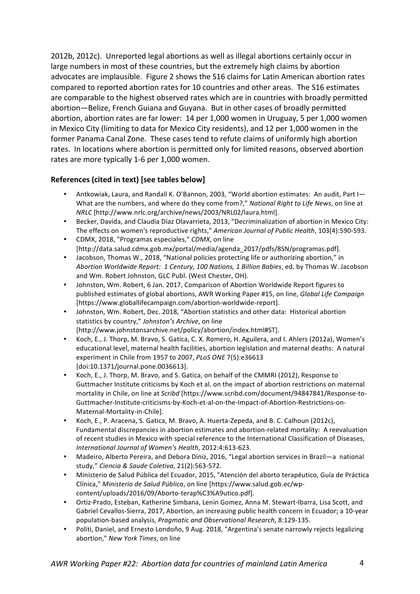2012b, 2012c). Unreported legal abortions as well as illegal abortions certainly occur in large numbers in most of these countries, but the extremely high claims by abortion advocates are implausible. Figure 2 shows the S16 claims for Latin American abortion rates compared to reported abortion rates for 10 countries and other areas. The S16 estimates are comparable to the highest observed rates which are in countries with broadly permitted abortion—Belize, French Guiana and Guyana. But in other cases of broadly permitted abortion, abortion rates are far lower: 14 per 1,000 women in Uruguay, 5 per 1,000 women in Mexico City (limiting to data for Mexico City residents), and 12 per 1,000 women in the former Panama Canal Zone. These cases tend to refute claims of uniformly high abortion rates. In locations where abortion is permitted only for limited reasons, observed abortion rates are more typically 1-6 per 1,000 women.

## **References (cited in text) [see tables below]**

- Antkowiak, Laura, and Randall K. O'Bannon, 2003, "World abortion estimates: An audit, Part I-What are the numbers, and where do they come from?," *National Right to Life News*, on line at *NRLC* [http://www.nrlc.org/archive/news/2003/NRL02/laura.html].
- Becker, Davida, and Claudia Díaz Olavarrieta, 2013, "Decriminalization of abortion in Mexico City: The effects on women's reproductive rights," American Journal of Public Health, 103(4):590-593.
- CDMX, 2018, "Programas especiales," *CDMX*, on line [http://data.salud.cdmx.gob.mx/portal/media/agenda\_2017/pdfs/8SN/programas.pdf].
- Jacobson, Thomas W., 2018, "National policies protecting life or authorizing abortion," in *Abortion Worldwide Report: 1 Century, 100 Nations, 1 Billion Babies*, ed. by Thomas W. Jacobson and Wm. Robert Johnston, GLC Publ. (West Chester, OH).
- Johnston, Wm. Robert, 6 Jan. 2017, Comparison of Abortion Worldwide Report figures to published estimates of global abortions, AWR Working Paper #15, on line, *Global Life Campaign* [https://www.globallifecampaign.com/abortion-worldwide-report].
- Johnston, Wm. Robert, Dec. 2018, "Abortion statistics and other data: Historical abortion statistics by country," Johnston's Archive, on line [http://www.johnstonsarchive.net/policy/abortion/index.html#ST].
- Koch, E., J. Thorp, M. Bravo, S. Gatica, C. X. Romero, H. Aguilera, and I. Ahlers (2012a), Women's educational level, maternal health facilities, abortion legislation and maternal deaths: A natural experiment in Chile from 1957 to 2007, *PLoS ONE* 7(5):e36613 [doi:10.1371/journal.pone.0036613].
- Koch, E., J. Thorp, M. Bravo, and S. Gatica, on behalf of the CMMRI (2012), Response to Guttmacher Institute criticisms by Koch et al. on the impact of abortion restrictions on maternal mortality in Chile, on line at *Scribd* [https://www.scribd.com/document/94847841/Response-to-Guttmacher-Institute-criticisms-by-Koch-et-al-on-the-Impact-of-Abortion-Restrictions-on-Maternal-Mortality-in-Chile].
- Koch, E., P. Aracena, S. Gatica, M. Bravo, A. Huerta-Zepeda, and B. C. Calhoun (2012c), Fundamental discrepancies in abortion estimates and abortion-related mortality: A reevaluation of recent studies in Mexico with special reference to the International Classification of Diseases, *International Journal of Women's Health*, 2012:4:613-623.
- Madeiro, Alberto Pereira, and Debora Diniz, 2016, "Legal abortion services in Brazil—a national study," *Ciencia & Saude Coletiva*, 21(2):563-572.
- Ministerio de Salud Pública del Ecuador, 2015, "Atención del aborto terapéutico, Guía de Práctica Clínica," *Ministerio de Salud Pública*, on line [https://www.salud.gob.ec/wpcontent/uploads/2016/09/Aborto-terap%C3%A9utico.pdf].
- Ortiz-Prado, Esteban, Katherine Simbana, Lenin Gomez, Anna M. Stewart-Ibarra, Lisa Scott, and Gabriel Cevallos-Sierra, 2017, Abortion, an increasing public health concern in Ecuador; a 10-year population-based analysis, *Pragmatic and Observational Research*, 8:129-135.
- Politi, Daniel, and Ernesto Londoño, 9 Aug. 2018, "Argentina's senate narrowly rejects legalizing abortion," *New York Times*, on line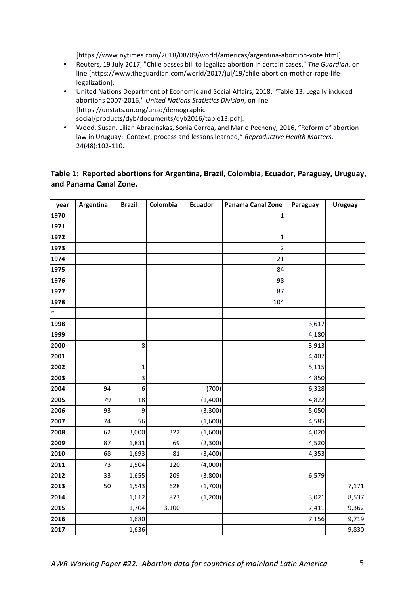[https://www.nytimes.com/2018/08/09/world/americas/argentina-abortion-vote.html].

- Reuters, 19 July 2017, "Chile passes bill to legalize abortion in certain cases," The Guardian, on line [https://www.theguardian.com/world/2017/jul/19/chile-abortion-mother-rape-lifelegalization].
- United Nations Department of Economic and Social Affairs, 2018, "Table 13. Legally induced abortions 2007-2016," United Nations Statistics Division, on line [https://unstats.un.org/unsd/demographicsocial/products/dyb/documents/dyb2016/table13.pdf].
- Wood, Susan, Lilian Abracinskas, Sonia Correa, and Mario Pecheny, 2016, "Reform of abortion law in Uruguay: Context, process and lessons learned," Reproductive Health Matters, 24(48):102-110.

### Table 1: Reported abortions for Argentina, Brazil, Colombia, Ecuador, Paraguay, Uruguay, **and Panama Canal Zone.**

| year                  | Argentina | <b>Brazil</b>    | Colombia | <b>Ecuador</b> | Panama Canal Zone | Paraguay | <b>Uruguay</b> |
|-----------------------|-----------|------------------|----------|----------------|-------------------|----------|----------------|
| 1970                  |           |                  |          |                | 1                 |          |                |
| 1971                  |           |                  |          |                |                   |          |                |
| 1972                  |           |                  |          |                | 1                 |          |                |
| 1973                  |           |                  |          |                | $\overline{c}$    |          |                |
| 1974                  |           |                  |          |                | 21                |          |                |
| 1975                  |           |                  |          |                | 84                |          |                |
| 1976                  |           |                  |          |                | 98                |          |                |
| 1977                  |           |                  |          |                | 87                |          |                |
| 1978                  |           |                  |          |                | 104               |          |                |
| $\tilde{\phantom{a}}$ |           |                  |          |                |                   |          |                |
| 1998                  |           |                  |          |                |                   | 3,617    |                |
| 1999                  |           |                  |          |                |                   | 4,180    |                |
| 2000                  |           | 8                |          |                |                   | 3,913    |                |
| 2001                  |           |                  |          |                |                   | 4,407    |                |
| 2002                  |           | 1                |          |                |                   | 5,115    |                |
| 2003                  |           | 3                |          |                |                   | 4,850    |                |
| 2004                  | 94        | $\boldsymbol{6}$ |          | (700)          |                   | 6,328    |                |
| 2005                  | 79        | 18               |          | (1,400)        |                   | 4,822    |                |
| 2006                  | 93        | 9                |          | (3,300)        |                   | 5,050    |                |
| 2007                  | 74        | 56               |          | (1,600)        |                   | 4,585    |                |
| 2008                  | 62        | 3,000            | 322      | (1,600)        |                   | 4,020    |                |
| 2009                  | 87        | 1,831            | 69       | (2,300)        |                   | 4,520    |                |
| 2010                  | 68        | 1,693            | 81       | (3,400)        |                   | 4,353    |                |
| 2011                  | 73        | 1,504            | 120      | (4,000)        |                   |          |                |
| 2012                  | 33        | 1,655            | 209      | (3,800)        |                   | 6,579    |                |
| 2013                  | 50        | 1,543            | 628      | (1,700)        |                   |          | 7,171          |
| 2014                  |           | 1,612            | 873      | (1, 200)       |                   | 3,021    | 8,537          |
| 2015                  |           | 1,704            | 3,100    |                |                   | 7,411    | 9,362          |
| 2016                  |           | 1,680            |          |                |                   | 7,156    | 9,719          |
| 2017                  |           | 1,636            |          |                |                   |          | 9,830          |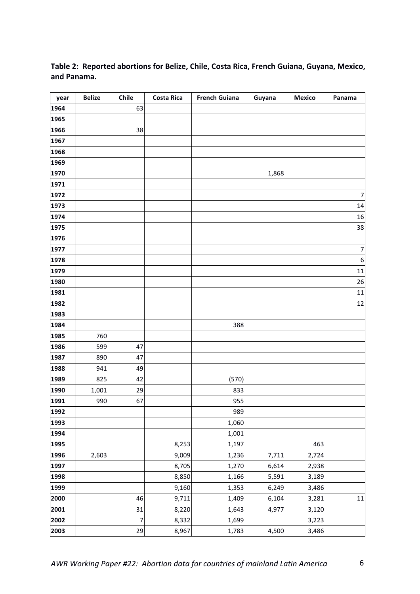| year | <b>Belize</b> | Chile          | <b>Costa Rica</b> | <b>French Guiana</b> | Guyana | <b>Mexico</b> | Panama         |
|------|---------------|----------------|-------------------|----------------------|--------|---------------|----------------|
| 1964 |               | 63             |                   |                      |        |               |                |
| 1965 |               |                |                   |                      |        |               |                |
| 1966 |               | 38             |                   |                      |        |               |                |
| 1967 |               |                |                   |                      |        |               |                |
| 1968 |               |                |                   |                      |        |               |                |
| 1969 |               |                |                   |                      |        |               |                |
| 1970 |               |                |                   |                      | 1,868  |               |                |
| 1971 |               |                |                   |                      |        |               |                |
| 1972 |               |                |                   |                      |        |               | $\overline{7}$ |
| 1973 |               |                |                   |                      |        |               | 14             |
| 1974 |               |                |                   |                      |        |               | 16             |
| 1975 |               |                |                   |                      |        |               | 38             |
| 1976 |               |                |                   |                      |        |               |                |
| 1977 |               |                |                   |                      |        |               | $\overline{7}$ |
| 1978 |               |                |                   |                      |        |               | $\overline{6}$ |
| 1979 |               |                |                   |                      |        |               | 11             |
| 1980 |               |                |                   |                      |        |               | 26             |
| 1981 |               |                |                   |                      |        |               | 11             |
| 1982 |               |                |                   |                      |        |               | 12             |
| 1983 |               |                |                   |                      |        |               |                |
| 1984 |               |                |                   | 388                  |        |               |                |
| 1985 | 760           |                |                   |                      |        |               |                |
| 1986 | 599           | 47             |                   |                      |        |               |                |
| 1987 | 890           | 47             |                   |                      |        |               |                |
| 1988 | 941           | 49             |                   |                      |        |               |                |
| 1989 | 825           | 42             |                   | (570)                |        |               |                |
| 1990 | 1,001         | 29             |                   | 833                  |        |               |                |
| 1991 | 990           | 67             |                   | 955                  |        |               |                |
| 1992 |               |                |                   | 989                  |        |               |                |
| 1993 |               |                |                   | 1,060                |        |               |                |
| 1994 |               |                |                   | 1,001                |        |               |                |
| 1995 |               |                | 8,253             | 1,197                |        | 463           |                |
| 1996 | 2,603         |                | 9,009             | 1,236                | 7,711  | 2,724         |                |
| 1997 |               |                | 8,705             | 1,270                | 6,614  | 2,938         |                |
| 1998 |               |                | 8,850             | 1,166                | 5,591  | 3,189         |                |
| 1999 |               |                | 9,160             | 1,353                | 6,249  | 3,486         |                |
| 2000 |               | 46             | 9,711             | 1,409                | 6,104  | 3,281         | 11             |
| 2001 |               | 31             | 8,220             | 1,643                | 4,977  | 3,120         |                |
| 2002 |               | $\overline{7}$ | 8,332             | 1,699                |        | 3,223         |                |
| 2003 |               | 29             | 8,967             | 1,783                | 4,500  | 3,486         |                |

## Table 2: Reported abortions for Belize, Chile, Costa Rica, French Guiana, Guyana, Mexico, **and Panama.**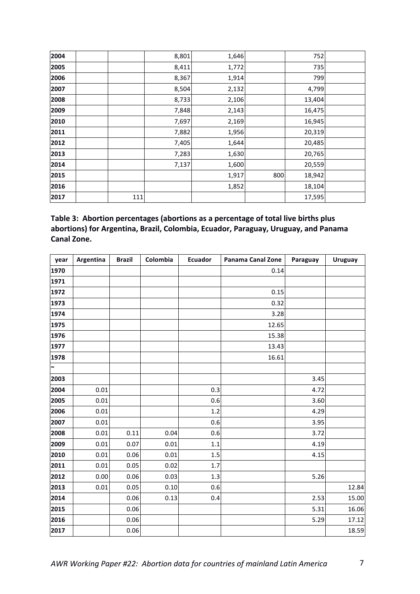| 2004 |     | 8,801 | 1,646 |     | 752    |  |
|------|-----|-------|-------|-----|--------|--|
| 2005 |     | 8,411 | 1,772 |     | 735    |  |
| 2006 |     | 8,367 | 1,914 |     | 799    |  |
| 2007 |     | 8,504 | 2,132 |     | 4,799  |  |
| 2008 |     | 8,733 | 2,106 |     | 13,404 |  |
| 2009 |     | 7,848 | 2,143 |     | 16,475 |  |
| 2010 |     | 7,697 | 2,169 |     | 16,945 |  |
| 2011 |     | 7,882 | 1,956 |     | 20,319 |  |
| 2012 |     | 7,405 | 1,644 |     | 20,485 |  |
| 2013 |     | 7,283 | 1,630 |     | 20,765 |  |
| 2014 |     | 7,137 | 1,600 |     | 20,559 |  |
| 2015 |     |       | 1,917 | 800 | 18,942 |  |
| 2016 |     |       | 1,852 |     | 18,104 |  |
| 2017 | 111 |       |       |     | 17,595 |  |

| Table 3: Abortion percentages (abortions as a percentage of total live births plus |
|------------------------------------------------------------------------------------|
| abortions) for Argentina, Brazil, Colombia, Ecuador, Paraguay, Uruguay, and Panama |
| Canal Zone.                                                                        |

| year                  | Argentina | <b>Brazil</b> | Colombia | <b>Ecuador</b> | Panama Canal Zone | Paraguay | <b>Uruguay</b> |
|-----------------------|-----------|---------------|----------|----------------|-------------------|----------|----------------|
| 1970                  |           |               |          |                | 0.14              |          |                |
| 1971                  |           |               |          |                |                   |          |                |
| 1972                  |           |               |          |                | 0.15              |          |                |
| 1973                  |           |               |          |                | 0.32              |          |                |
| 1974                  |           |               |          |                | 3.28              |          |                |
| 1975                  |           |               |          |                | 12.65             |          |                |
| 1976                  |           |               |          |                | 15.38             |          |                |
| 1977                  |           |               |          |                | 13.43             |          |                |
| 1978                  |           |               |          |                | 16.61             |          |                |
| $\tilde{\phantom{a}}$ |           |               |          |                |                   |          |                |
| 2003                  |           |               |          |                |                   | 3.45     |                |
| 2004                  | 0.01      |               |          | 0.3            |                   | 4.72     |                |
| 2005                  | 0.01      |               |          | 0.6            |                   | 3.60     |                |
| 2006                  | 0.01      |               |          | $1.2\,$        |                   | 4.29     |                |
| 2007                  | 0.01      |               |          | 0.6            |                   | 3.95     |                |
| 2008                  | 0.01      | 0.11          | 0.04     | 0.6            |                   | 3.72     |                |
| 2009                  | 0.01      | 0.07          | 0.01     | 1.1            |                   | 4.19     |                |
| 2010                  | 0.01      | 0.06          | 0.01     | $1.5\,$        |                   | 4.15     |                |
| 2011                  | 0.01      | 0.05          | 0.02     | $1.7$          |                   |          |                |
| 2012                  | 0.00      | 0.06          | 0.03     | 1.3            |                   | 5.26     |                |
| 2013                  | 0.01      | 0.05          | 0.10     | 0.6            |                   |          | 12.84          |
| 2014                  |           | 0.06          | 0.13     | 0.4            |                   | 2.53     | 15.00          |
| 2015                  |           | 0.06          |          |                |                   | 5.31     | 16.06          |
| 2016                  |           | 0.06          |          |                |                   | 5.29     | 17.12          |
| 2017                  |           | 0.06          |          |                |                   |          | 18.59          |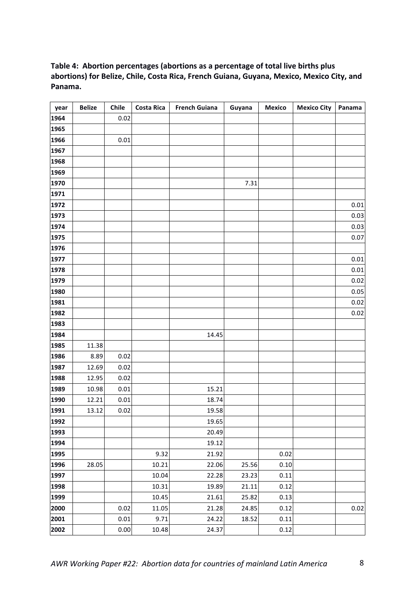## Table 4: Abortion percentages (abortions as a percentage of total live births plus abortions) for Belize, Chile, Costa Rica, French Guiana, Guyana, Mexico, Mexico City, and **Panama.**

| year | <b>Belize</b> | Chile    | <b>Costa Rica</b> | <b>French Guiana</b> | Guyana | <b>Mexico</b> | <b>Mexico City</b> | Panama |
|------|---------------|----------|-------------------|----------------------|--------|---------------|--------------------|--------|
| 1964 |               | 0.02     |                   |                      |        |               |                    |        |
| 1965 |               |          |                   |                      |        |               |                    |        |
| 1966 |               | 0.01     |                   |                      |        |               |                    |        |
| 1967 |               |          |                   |                      |        |               |                    |        |
| 1968 |               |          |                   |                      |        |               |                    |        |
| 1969 |               |          |                   |                      |        |               |                    |        |
| 1970 |               |          |                   |                      | 7.31   |               |                    |        |
| 1971 |               |          |                   |                      |        |               |                    |        |
| 1972 |               |          |                   |                      |        |               |                    | 0.01   |
| 1973 |               |          |                   |                      |        |               |                    | 0.03   |
| 1974 |               |          |                   |                      |        |               |                    | 0.03   |
| 1975 |               |          |                   |                      |        |               |                    | 0.07   |
| 1976 |               |          |                   |                      |        |               |                    |        |
| 1977 |               |          |                   |                      |        |               |                    | 0.01   |
| 1978 |               |          |                   |                      |        |               |                    | 0.01   |
| 1979 |               |          |                   |                      |        |               |                    | 0.02   |
| 1980 |               |          |                   |                      |        |               |                    | 0.05   |
| 1981 |               |          |                   |                      |        |               |                    | 0.02   |
| 1982 |               |          |                   |                      |        |               |                    | 0.02   |
| 1983 |               |          |                   |                      |        |               |                    |        |
| 1984 |               |          |                   | 14.45                |        |               |                    |        |
| 1985 | 11.38         |          |                   |                      |        |               |                    |        |
| 1986 | 8.89          | 0.02     |                   |                      |        |               |                    |        |
| 1987 | 12.69         | 0.02     |                   |                      |        |               |                    |        |
| 1988 | 12.95         | 0.02     |                   |                      |        |               |                    |        |
| 1989 | 10.98         | 0.01     |                   | 15.21                |        |               |                    |        |
| 1990 | 12.21         | 0.01     |                   | 18.74                |        |               |                    |        |
| 1991 | 13.12         | 0.02     |                   | 19.58                |        |               |                    |        |
| 1992 |               |          |                   | 19.65                |        |               |                    |        |
| 1993 |               |          |                   | 20.49                |        |               |                    |        |
| 1994 |               |          |                   | 19.12                |        |               |                    |        |
| 1995 |               |          | 9.32              | 21.92                |        | 0.02          |                    |        |
| 1996 | 28.05         |          | 10.21             | 22.06                | 25.56  | 0.10          |                    |        |
| 1997 |               |          | 10.04             | 22.28                | 23.23  | 0.11          |                    |        |
| 1998 |               |          | 10.31             | 19.89                | 21.11  | 0.12          |                    |        |
| 1999 |               |          | 10.45             | 21.61                | 25.82  | 0.13          |                    |        |
| 2000 |               | 0.02     | 11.05             | 21.28                | 24.85  | 0.12          |                    | 0.02   |
| 2001 |               | 0.01     | 9.71              | 24.22                | 18.52  | 0.11          |                    |        |
| 2002 |               | $0.00\,$ | 10.48             | 24.37                |        | 0.12          |                    |        |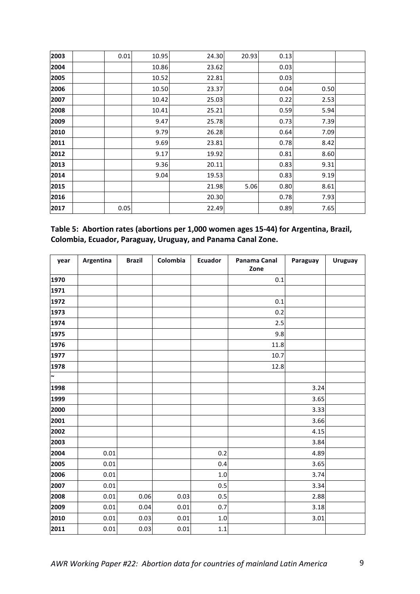| 2003 | 0.01 | 10.95 | 24.30 | 20.93 | 0.13 |      |  |
|------|------|-------|-------|-------|------|------|--|
| 2004 |      | 10.86 | 23.62 |       | 0.03 |      |  |
| 2005 |      | 10.52 | 22.81 |       | 0.03 |      |  |
| 2006 |      | 10.50 | 23.37 |       | 0.04 | 0.50 |  |
| 2007 |      | 10.42 | 25.03 |       | 0.22 | 2.53 |  |
| 2008 |      | 10.41 | 25.21 |       | 0.59 | 5.94 |  |
| 2009 |      | 9.47  | 25.78 |       | 0.73 | 7.39 |  |
| 2010 |      | 9.79  | 26.28 |       | 0.64 | 7.09 |  |
| 2011 |      | 9.69  | 23.81 |       | 0.78 | 8.42 |  |
| 2012 |      | 9.17  | 19.92 |       | 0.81 | 8.60 |  |
| 2013 |      | 9.36  | 20.11 |       | 0.83 | 9.31 |  |
| 2014 |      | 9.04  | 19.53 |       | 0.83 | 9.19 |  |
| 2015 |      |       | 21.98 | 5.06  | 0.80 | 8.61 |  |
| 2016 |      |       | 20.30 |       | 0.78 | 7.93 |  |
| 2017 | 0.05 |       | 22.49 |       | 0.89 | 7.65 |  |

| Table 5: Abortion rates (abortions per 1,000 women ages 15-44) for Argentina, Brazil, |  |
|---------------------------------------------------------------------------------------|--|
| Colombia, Ecuador, Paraguay, Uruguay, and Panama Canal Zone.                          |  |

| year   | Argentina | <b>Brazil</b> | Colombia | <b>Ecuador</b> | Panama Canal<br>Zone | Paraguay | <b>Uruguay</b> |
|--------|-----------|---------------|----------|----------------|----------------------|----------|----------------|
| 1970   |           |               |          |                | $0.1\,$              |          |                |
| 1971   |           |               |          |                |                      |          |                |
| 1972   |           |               |          |                | 0.1                  |          |                |
| 1973   |           |               |          |                | 0.2                  |          |                |
| 1974   |           |               |          |                | 2.5                  |          |                |
| 1975   |           |               |          |                | 9.8                  |          |                |
| 1976   |           |               |          |                | 11.8                 |          |                |
| 1977   |           |               |          |                | 10.7                 |          |                |
| 1978   |           |               |          |                | 12.8                 |          |                |
| $\sim$ |           |               |          |                |                      |          |                |
| 1998   |           |               |          |                |                      | 3.24     |                |
| 1999   |           |               |          |                |                      | 3.65     |                |
| 2000   |           |               |          |                |                      | 3.33     |                |
| 2001   |           |               |          |                |                      | 3.66     |                |
| 2002   |           |               |          |                |                      | 4.15     |                |
| 2003   |           |               |          |                |                      | 3.84     |                |
| 2004   | 0.01      |               |          | 0.2            |                      | 4.89     |                |
| 2005   | 0.01      |               |          | 0.4            |                      | 3.65     |                |
| 2006   | 0.01      |               |          | $1.0\,$        |                      | 3.74     |                |
| 2007   | 0.01      |               |          | 0.5            |                      | 3.34     |                |
| 2008   | 0.01      | 0.06          | 0.03     | 0.5            |                      | 2.88     |                |
| 2009   | 0.01      | 0.04          | 0.01     | 0.7            |                      | 3.18     |                |
| 2010   | 0.01      | 0.03          | 0.01     | 1.0            |                      | 3.01     |                |
| 2011   | 0.01      | 0.03          | 0.01     | $1.1\,$        |                      |          |                |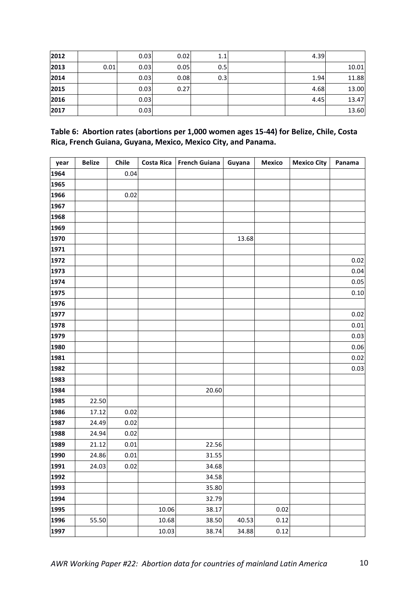| 2012 |      | 0.03 | 0.02 | 1.1 | 4.39 |       |
|------|------|------|------|-----|------|-------|
| 2013 | 0.01 | 0.03 | 0.05 | 0.5 |      | 10.01 |
| 2014 |      | 0.03 | 0.08 | 0.3 | 1.94 | 11.88 |
| 2015 |      | 0.03 | 0.27 |     | 4.68 | 13.00 |
| 2016 |      | 0.03 |      |     | 4.45 | 13.47 |
| 2017 |      | 0.03 |      |     |      | 13.60 |

| Table 6: Abortion rates (abortions per 1,000 women ages 15-44) for Belize, Chile, Costa |
|-----------------------------------------------------------------------------------------|
| Rica, French Guiana, Guyana, Mexico, Mexico City, and Panama.                           |

| year | <b>Belize</b> | Chile |       | Costa Rica French Guiana | Guyana | <b>Mexico</b> | <b>Mexico City</b> | Panama |
|------|---------------|-------|-------|--------------------------|--------|---------------|--------------------|--------|
| 1964 |               | 0.04  |       |                          |        |               |                    |        |
| 1965 |               |       |       |                          |        |               |                    |        |
| 1966 |               | 0.02  |       |                          |        |               |                    |        |
| 1967 |               |       |       |                          |        |               |                    |        |
| 1968 |               |       |       |                          |        |               |                    |        |
| 1969 |               |       |       |                          |        |               |                    |        |
| 1970 |               |       |       |                          | 13.68  |               |                    |        |
| 1971 |               |       |       |                          |        |               |                    |        |
| 1972 |               |       |       |                          |        |               |                    | 0.02   |
| 1973 |               |       |       |                          |        |               |                    | 0.04   |
| 1974 |               |       |       |                          |        |               |                    | 0.05   |
| 1975 |               |       |       |                          |        |               |                    | 0.10   |
| 1976 |               |       |       |                          |        |               |                    |        |
| 1977 |               |       |       |                          |        |               |                    | 0.02   |
| 1978 |               |       |       |                          |        |               |                    | 0.01   |
| 1979 |               |       |       |                          |        |               |                    | 0.03   |
| 1980 |               |       |       |                          |        |               |                    | 0.06   |
| 1981 |               |       |       |                          |        |               |                    | 0.02   |
| 1982 |               |       |       |                          |        |               |                    | 0.03   |
| 1983 |               |       |       |                          |        |               |                    |        |
| 1984 |               |       |       | 20.60                    |        |               |                    |        |
| 1985 | 22.50         |       |       |                          |        |               |                    |        |
| 1986 | 17.12         | 0.02  |       |                          |        |               |                    |        |
| 1987 | 24.49         | 0.02  |       |                          |        |               |                    |        |
| 1988 | 24.94         | 0.02  |       |                          |        |               |                    |        |
| 1989 | 21.12         | 0.01  |       | 22.56                    |        |               |                    |        |
| 1990 | 24.86         | 0.01  |       | 31.55                    |        |               |                    |        |
| 1991 | 24.03         | 0.02  |       | 34.68                    |        |               |                    |        |
| 1992 |               |       |       | 34.58                    |        |               |                    |        |
| 1993 |               |       |       | 35.80                    |        |               |                    |        |
| 1994 |               |       |       | 32.79                    |        |               |                    |        |
| 1995 |               |       | 10.06 | 38.17                    |        | 0.02          |                    |        |
| 1996 | 55.50         |       | 10.68 | 38.50                    | 40.53  | 0.12          |                    |        |
| 1997 |               |       | 10.03 | 38.74                    | 34.88  | 0.12          |                    |        |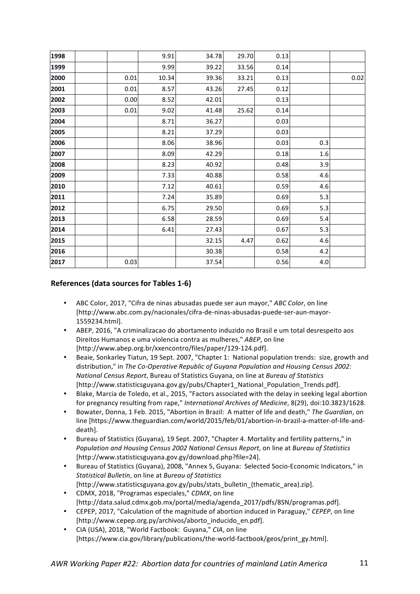| 1998 |      | 9.91  | 34.78 | 29.70 | 0.13 |         |      |
|------|------|-------|-------|-------|------|---------|------|
| 1999 |      | 9.99  | 39.22 | 33.56 | 0.14 |         |      |
| 2000 | 0.01 | 10.34 | 39.36 | 33.21 | 0.13 |         | 0.02 |
| 2001 | 0.01 | 8.57  | 43.26 | 27.45 | 0.12 |         |      |
| 2002 | 0.00 | 8.52  | 42.01 |       | 0.13 |         |      |
| 2003 | 0.01 | 9.02  | 41.48 | 25.62 | 0.14 |         |      |
| 2004 |      | 8.71  | 36.27 |       | 0.03 |         |      |
| 2005 |      | 8.21  | 37.29 |       | 0.03 |         |      |
| 2006 |      | 8.06  | 38.96 |       | 0.03 | 0.3     |      |
| 2007 |      | 8.09  | 42.29 |       | 0.18 | 1.6     |      |
| 2008 |      | 8.23  | 40.92 |       | 0.48 | 3.9     |      |
| 2009 |      | 7.33  | 40.88 |       | 0.58 | 4.6     |      |
| 2010 |      | 7.12  | 40.61 |       | 0.59 | 4.6     |      |
| 2011 |      | 7.24  | 35.89 |       | 0.69 | 5.3     |      |
| 2012 |      | 6.75  | 29.50 |       | 0.69 | 5.3     |      |
| 2013 |      | 6.58  | 28.59 |       | 0.69 | 5.4     |      |
| 2014 |      | 6.41  | 27.43 |       | 0.67 | 5.3     |      |
| 2015 |      |       | 32.15 | 4.47  | 0.62 | 4.6     |      |
| 2016 |      |       | 30.38 |       | 0.58 | 4.2     |      |
| 2017 | 0.03 |       | 37.54 |       | 0.56 | $4.0\,$ |      |

#### **References (data sources for Tables 1-6)**

- ABC Color, 2017, "Cifra de ninas abusadas puede ser aun mayor," *ABC Color*, on line [http://www.abc.com.py/nacionales/cifra-de-ninas-abusadas-puede-ser-aun-mayor-1559234.html].
- ABEP, 2016, "A criminalizacao do abortamento induzido no Brasil e um total desrespeito aos Direitos Humanos e uma violencia contra as mulheres," ABEP, on line [http://www.abep.org.br/xxencontro/files/paper/129-124.pdf].
- Beaie, Sonkarley Tiatun, 19 Sept. 2007, "Chapter 1: National population trends: size, growth and distribution," in *The Co-Operative Republic of Guyana Population and Housing Census 2002: National Census Report*, Bureau of Statistics Guyana, on line at *Bureau of Statistics* [http://www.statisticsguyana.gov.gy/pubs/Chapter1\_National\_Population\_Trends.pdf].
- Blake, Marcia de Toledo, et al., 2015, "Factors associated with the delay in seeking legal abortion for pregnancy resulting from rape," International Archives of Medicine, 8(29), doi:10.3823/1628.
- Bowater, Donna, 1 Feb. 2015, "Abortion in Brazil: A matter of life and death," The Guardian, on line [https://www.theguardian.com/world/2015/feb/01/abortion-in-brazil-a-matter-of-life-anddeath].
- Bureau of Statistics (Guyana), 19 Sept. 2007, "Chapter 4. Mortality and fertility patterns," in *Population and Housing Census 2002 National Census Report*, on line at *Bureau of Statistics* [http://www.statisticsguyana.gov.gy/download.php?file=24].
- Bureau of Statistics (Guyana), 2008, "Annex 5, Guyana: Selected Socio-Economic Indicators," in *Statistical Bulletin*, on line at *Bureau of Statistics*
- [http://www.statisticsguyana.gov.gy/pubs/stats\_bulletin\_(thematic\_area).zip].
- CDMX, 2018, "Programas especiales," *CDMX*, on line [http://data.salud.cdmx.gob.mx/portal/media/agenda\_2017/pdfs/8SN/programas.pdf].
- CEPEP, 2017, "Calculation of the magnitude of abortion induced in Paraguay," *CEPEP*, on line [http://www.cepep.org.py/archivos/aborto\_inducido\_en.pdf].
- CIA (USA), 2018, "World Factbook: Guyana," CIA, on line [https://www.cia.gov/library/publications/the-world-factbook/geos/print\_gy.html].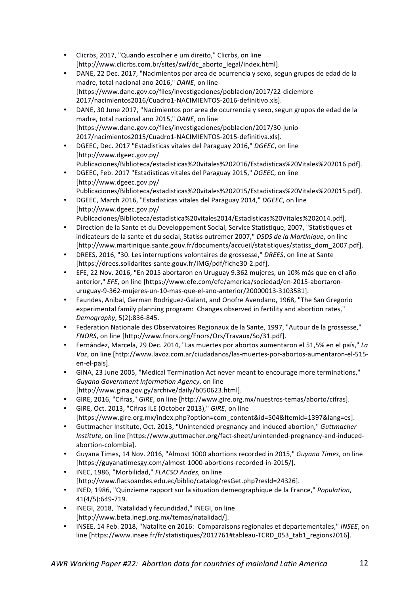- Clicrbs, 2017, "Quando escolher e um direito," Clicrbs, on line [http://www.clicrbs.com.br/sites/swf/dc\_aborto\_legal/index.html].
- DANE, 22 Dec. 2017, "Nacimientos por area de ocurrencia y sexo, segun grupos de edad de la madre, total nacional ano 2016," DANE, on line [https://www.dane.gov.co/files/investigaciones/poblacion/2017/22-diciembre-2017/nacimientos2016/Cuadro1-NACIMIENTOS-2016-definitivo.xls].
- DANE, 30 June 2017, "Nacimientos por area de ocurrencia y sexo, segun grupos de edad de la madre, total nacional ano 2015," DANE, on line [https://www.dane.gov.co/files/investigaciones/poblacion/2017/30-junio-2017/nacimientos2015/Cuadro1-NACIMIENTOS-2015-definitiva.xls].
- DGEEC, Dec. 2017 "Estadisticas vitales del Paraguay 2016," DGEEC, on line [http://www.dgeec.gov.py/ Publicaciones/Biblioteca/estadisticas%20vitales%202016/Estadisticas%20Vitales%202016.pdf].
- DGEEC, Feb. 2017 "Estadisticas vitales del Paraguay 2015," DGEEC, on line [http://www.dgeec.gov.py/ Publicaciones/Biblioteca/estadisticas%20vitales%202015/Estadisticas%20Vitales%202015.pdf].
- DGEEC, March 2016, "Estadisticas vitales del Paraguay 2014," DGEEC, on line [http://www.dgeec.gov.py/ Publicaciones/Biblioteca/estadistica%20vitales2014/Estadisticas%20Vitales%202014.pdf].
- Direction de la Sante et du Developpement Social, Service Statistique, 2007, "Statistiques et indicateurs de la sante et du social, Statiss outremer 2007," *DSDS de la Martinique*, on line [http://www.martinique.sante.gouv.fr/documents/accueil/statistiques/statiss\_dom\_2007.pdf].
- DREES, 2016, "30. Les interruptions volontaires de grossesse," *DREES*, on line at Sante [https://drees.solidarites-sante.gouv.fr/IMG/pdf/fiche30-2.pdf].
- EFE, 22 Nov. 2016, "En 2015 abortaron en Uruguay 9.362 mujeres, un 10% más que en el año anterior," *EFE*, on line [https://www.efe.com/efe/america/sociedad/en-2015-abortaronuruguay-9-362-mujeres-un-10-mas-que-el-ano-anterior/20000013-3103581].
- Faundes, Anibal, German Rodriguez-Galant, and Onofre Avendano, 1968, "The San Gregorio experimental family planning program: Changes observed in fertility and abortion rates," *Demography*, 5(2):836-845.
- Federation Nationale des Observatoires Regionaux de la Sante, 1997, "Autour de la grossesse," *FNORS*, on line [http://www.fnors.org/Fnors/Ors/Travaux/So/31.pdf].
- Fernández, Marcela, 29 Dec. 2014, "Las muertes por abortos aumentaron el 51,5% en el país," La *Voz*, on line [http://www.lavoz.com.ar/ciudadanos/las-muertes-por-abortos-aumentaron-el-515en-el-pais].
- GINA, 23 June 2005, "Medical Termination Act never meant to encourage more terminations," Guyana Government Information Agency, on line [http://www.gina.gov.gy/archive/daily/b050623.html].
- GIRE, 2016, "Cifras," GIRE, on line [http://www.gire.org.mx/nuestros-temas/aborto/cifras].
- GIRE, Oct. 2013, "Cifras ILE (October 2013)," *GIRE*, on line [https://www.gire.org.mx/index.php?option=com\_content&id=504&Itemid=1397&lang=es].
- Guttmacher Institute, Oct. 2013, "Unintended pregnancy and induced abortion," Guttmacher *Institute*, on line [https://www.guttmacher.org/fact-sheet/unintended-pregnancy-and-inducedabortion-colombia].
- Guyana Times, 14 Nov. 2016, "Almost 1000 abortions recorded in 2015," Guyana Times, on line [https://guyanatimesgy.com/almost-1000-abortions-recorded-in-2015/].
- INEC, 1986, "Morbilidad," *FLACSO Andes*, on line [http://www.flacsoandes.edu.ec/biblio/catalog/resGet.php?resId=24326].
- INED, 1986, "Quinzieme rapport sur la situation demeographique de la France," *Population*, 41(4/5):649-719.
- INEGI, 2018, "Natalidad y fecundidad," INEGI, on line [http://www.beta.inegi.org.mx/temas/natalidad/].
- INSEE, 14 Feb. 2018, "Natalite en 2016: Comparaisons regionales et departementales," *INSEE*, on line [https://www.insee.fr/fr/statistiques/2012761#tableau-TCRD\_053\_tab1\_regions2016].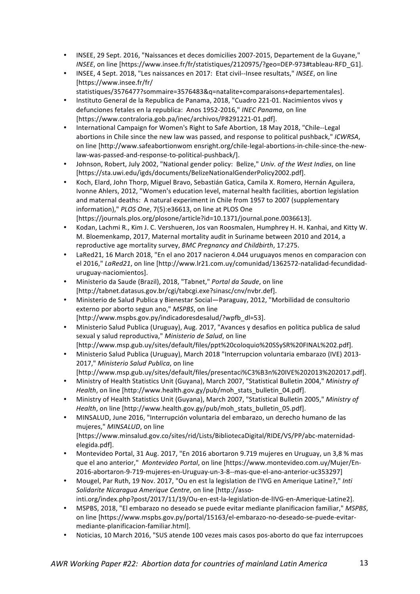- INSEE, 29 Sept. 2016, "Naissances et deces domicilies 2007-2015, Departement de la Guyane," *INSEE*, on line [https://www.insee.fr/fr/statistiques/2120975/?geo=DEP-973#tableau-RFD G1].
- INSEE, 4 Sept. 2018, "Les naissances en 2017: Etat civil--Insee resultats," INSEE, on line [https://www.insee.fr/fr/
	- statistiques/3576477?sommaire=3576483&q=natalite+comparaisons+departementales]. Instituto General de la Republica de Panama, 2018, "Cuadro 221-01. Nacimientos vivos y
- defunciones fetales en la republica: Anos 1952-2016," INEC Panama, on line [https://www.contraloria.gob.pa/inec/archivos/P8291221-01.pdf].
- International Campaign for Women's Right to Safe Abortion, 18 May 2018, "Chile--Legal abortions in Chile since the new law was passed, and response to political pushback," *ICWRSA*, on line [http://www.safeabortionwom ensright.org/chile-legal-abortions-in-chile-since-the-newlaw-was-passed-and-response-to-political-pushback/].
- Johnson, Robert, July 2002, "National gender policy: Belize," *Univ. of the West Indies*, on line [https://sta.uwi.edu/igds/documents/BelizeNationalGenderPolicy2002.pdf].
- Koch, Elard, John Thorp, Miguel Bravo, Sebastián Gatica, Camila X. Romero, Hernán Aguilera, Ivonne Ahlers, 2012, "Women's education level, maternal health facilities, abortion legislation and maternal deaths: A natural experiment in Chile from 1957 to 2007 (supplementary information)," PLOS One, 7(5):e36613, on line at PLOS One [https://journals.plos.org/plosone/article?id=10.1371/journal.pone.0036613].
- Kodan, Lachmi R., Kim J. C. Vershueren, Jos van Roosmalen, Humphrey H. H. Kanhai, and Kitty W. M. Bloemenkamp, 2017, Maternal mortality audit in Suriname between 2010 and 2014, a reproductive age mortality survey, *BMC Pregnancy and Childbirth*, 17:275.
- LaRed21, 16 March 2018, "En el ano 2017 nacieron 4.044 uruguayos menos en comparacion con el 2016," LaRed21, on line [http://www.lr21.com.uy/comunidad/1362572-natalidad-fecundidaduruguay-naciomientos].
- Ministerio da Saude (Brazil), 2018, "Tabnet," *Portal da Saude*, on line [http://tabnet.datasus.gov.br/cgi/tabcgi.exe?sinasc/cnv/nvbr.def].
- Ministerio de Salud Publica y Bienestar Social—Paraguay, 2012, "Morbilidad de consultorio externo por aborto segun ano," MSPBS, on line [http://www.mspbs.gov.py/indicadoresdesalud/?wpfb\_dl=53].
- Ministerio Salud Publica (Uruguay), Aug. 2017, "Avances y desafios en politica publica de salud sexual y salud reproductiva," *Ministerio de Salud*, on line [http://www.msp.gub.uy/sites/default/files/ppt%20coloquio%20SSySR%20FINAL%202.pdf].
- Ministerio Salud Publica (Uruguay), March 2018 "Interrupcion voluntaria embarazo (IVE) 2013-2017," Ministerio Salud Publica, on line [http://www.msp.gub.uy/sites/default/files/presentaci%C3%B3n%20IVE%202013%202017.pdf].
- Ministry of Health Statistics Unit (Guyana), March 2007, "Statistical Bulletin 2004," Ministry of *Health*, on line [http://www.health.gov.gy/pub/moh\_stats\_bulletin\_04.pdf].
- Ministry of Health Statistics Unit (Guyana), March 2007, "Statistical Bulletin 2005," Ministry of *Health*, on line [http://www.health.gov.gy/pub/moh\_stats\_bulletin\_05.pdf].
- MINSALUD, June 2016, "Interrupción voluntaria del embarazo, un derecho humano de las mujeres," MINSALUD, on line [https://www.minsalud.gov.co/sites/rid/Lists/BibliotecaDigital/RIDE/VS/PP/abc-maternidadelegida.pdf].
- Montevideo Portal, 31 Aug. 2017, "En 2016 abortaron 9.719 muieres en Uruguay, un 3,8 % mas que el ano anterior," Montevideo Portal, on line [https://www.montevideo.com.uy/Mujer/En-2016-abortaron-9-719-mujeres-en-Uruguay-un-3-8--mas-que-el-ano-anterior-uc353297]
- Mougel, Par Ruth, 19 Nov. 2017, "Ou en est la legislation de l'IVG en Amerique Latine?," *Inti* Solidarite Nicaragua Amerique Centre, on line [http://assointi.org/index.php?post/2017/11/19/Ou-en-est-la-legislation-de-lIVG-en-Amerique-Latine2].
- MSPBS, 2018, "El embarazo no deseado se puede evitar mediante planificacion familiar," *MSPBS*, on line [https://www.mspbs.gov.py/portal/15163/el-embarazo-no-deseado-se-puede-evitarmediante-planificacion-familiar.html].
- Noticias, 10 March 2016, "SUS atende 100 vezes mais casos pos-aborto do que faz interrupcoes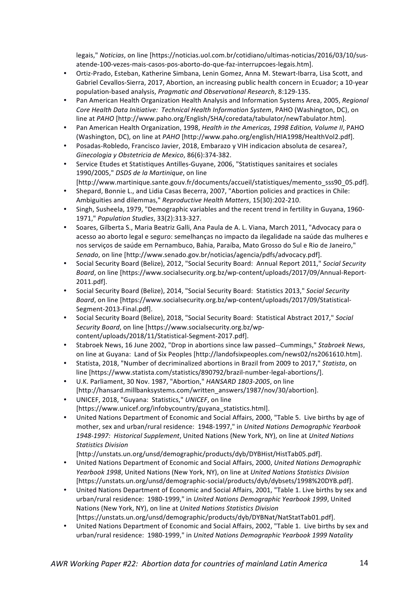legais," *Noticias*, on line [https://noticias.uol.com.br/cotidiano/ultimas-noticias/2016/03/10/susatende-100-vezes-mais-casos-pos-aborto-do-que-faz-interrupcoes-legais.htm].

- Ortiz-Prado, Esteban, Katherine Simbana, Lenin Gomez, Anna M. Stewart-Ibarra, Lisa Scott, and Gabriel Cevallos-Sierra, 2017, Abortion, an increasing public health concern in Ecuador; a 10-year population-based analysis, *Pragmatic and Observational Research*, 8:129-135.
- Pan American Health Organization Health Analysis and Information Systems Area, 2005, *Regional Core Health Data Initiative: Technical Health Information System, PAHO (Washington, DC), on* line at *PAHO* [http://www.paho.org/English/SHA/coredata/tabulator/newTabulator.htm].
- Pan American Health Organization, 1998, *Health in the Americas, 1998 Edition, Volume II*, PAHO (Washington, DC), on line at *PAHO* [http://www.paho.org/english/HIA1998/HealthVol2.pdf].
- Posadas-Robledo, Francisco Javier, 2018, Embarazo y VIH indicacion absoluta de cesarea?, *Ginecologia y Obstetricia de Mexico*, 86(6):374-382.
- Service Etudes et Statistiques Antilles-Guyane, 2006, "Statistiques sanitaires et sociales 1990/2005," DSDS de la Martinique, on line
- [http://www.martinique.sante.gouv.fr/documents/accueil/statistiques/memento\_sss90\_05.pdf].
- Shepard, Bonnie L., and Lidia Casas Becerra, 2007, "Abortion policies and practices in Chile: Ambiguities and dilemmas," *Reproductive Health Matters*, 15(30):202-210.
- Singh, Susheela, 1979, "Demographic variables and the recent trend in fertility in Guyana, 1960-1971," *Population Studies*, 33(2):313-327.
- Soares, Gilberta S., Maria Beatriz Galli, Ana Paula de A. L. Viana, March 2011, "Advocacy para o acesso ao aborto legal e seguro: semelhanças no impacto da ilegalidade na saúde das mulheres e nos serviços de saúde em Pernambuco, Bahia, Paraíba, Mato Grosso do Sul e Rio de Janeiro," Senado, on line [http://www.senado.gov.br/noticias/agencia/pdfs/advocacy.pdf].
- Social Security Board (Belize), 2012, "Social Security Board: Annual Report 2011," Social Security *Board*, on line [https://www.socialsecurity.org.bz/wp-content/uploads/2017/09/Annual-Report-2011.pdf].
- Social Security Board (Belize), 2014, "Social Security Board: Statistics 2013," Social Security *Board*, on line [https://www.socialsecurity.org.bz/wp-content/uploads/2017/09/Statistical-Segment-2013-Final.pdf].
- Social Security Board (Belize), 2018, "Social Security Board: Statistical Abstract 2017," Social Security Board, on line [https://www.socialsecurity.org.bz/wpcontent/uploads/2018/11/Statistical-Segment-2017.pdf].
- Stabroek News, 16 June 2002, "Drop in abortions since law passed--Cummings," Stabroek News, on line at Guyana: Land of Six Peoples [http://landofsixpeoples.com/news02/ns2061610.htm].
- Statista, 2018, "Number of decriminalized abortions in Brazil from 2009 to 2017," Statista, on line [https://www.statista.com/statistics/890792/brazil-number-legal-abortions/].
- U.K. Parliament, 30 Nov. 1987, "Abortion," *HANSARD 1803-2005*, on line [http://hansard.millbanksystems.com/written\_answers/1987/nov/30/abortion].
- UNICEF, 2018, "Guyana: Statistics," UNICEF, on line [https://www.unicef.org/infobycountry/guyana\_statistics.html].
- United Nations Department of Economic and Social Affairs, 2000, "Table 5. Live births by age of mother, sex and urban/rural residence: 1948-1997," in *United Nations Demographic Yearbook* 1948-1997: Historical Supplement, United Nations (New York, NY), on line at *United Nations Statistics Division*

[http://unstats.un.org/unsd/demographic/products/dyb/DYBHist/HistTab05.pdf].

- United Nations Department of Economic and Social Affairs, 2000, United Nations Demographic *Yearbook 1998*, United Nations (New York, NY), on line at *United Nations Statistics Division* [https://unstats.un.org/unsd/demographic-social/products/dyb/dybsets/1998%20DYB.pdf].
- United Nations Department of Economic and Social Affairs, 2001, "Table 1. Live births by sex and urban/rural residence: 1980-1999," in *United Nations Demographic Yearbook 1999*, United Nations (New York, NY), on line at *United Nations Statistics Division*
- [https://unstats.un.org/unsd/demographic/products/dyb/DYBNat/NatStatTab01.pdf]. • United Nations Department of Economic and Social Affairs, 2002, "Table 1. Live births by sex and urban/rural residence: 1980-1999," in *United Nations Demographic Yearbook 1999 Natality*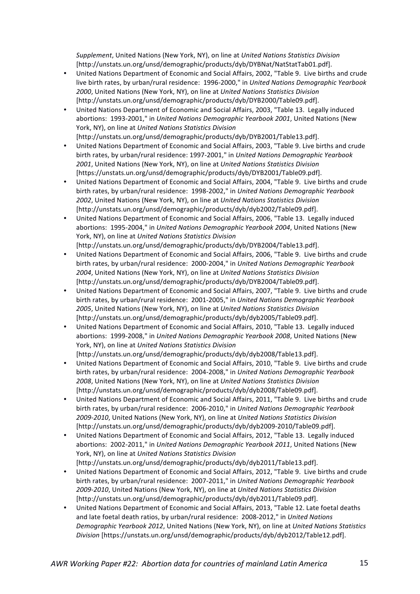*Supplement*, United Nations (New York, NY), on line at *United Nations Statistics Division* [http://unstats.un.org/unsd/demographic/products/dyb/DYBNat/NatStatTab01.pdf].

- United Nations Department of Economic and Social Affairs, 2002, "Table 9. Live births and crude live birth rates, by urban/rural residence: 1996-2000," in *United Nations Demographic Yearbook* 2000, United Nations (New York, NY), on line at *United Nations Statistics Division* [http://unstats.un.org/unsd/demographic/products/dyb/DYB2000/Table09.pdf].
- United Nations Department of Economic and Social Affairs, 2003, "Table 13. Legally induced abortions: 1993-2001," in *United Nations Demographic Yearbook 2001*, United Nations (New York, NY), on line at *United Nations Statistics Division* [http://unstats.un.org/unsd/demographic/products/dyb/DYB2001/Table13.pdf].
- United Nations Department of Economic and Social Affairs, 2003, "Table 9. Live births and crude birth rates, by urban/rural residence: 1997-2001," in *United Nations Demographic Yearbook* 2001, United Nations (New York, NY), on line at *United Nations Statistics Division* [https://unstats.un.org/unsd/demographic/products/dyb/DYB2001/Table09.pdf].
- United Nations Department of Economic and Social Affairs, 2004, "Table 9. Live births and crude birth rates, by urban/rural residence: 1998-2002," in *United Nations Demographic Yearbook* 2002, United Nations (New York, NY), on line at *United Nations Statistics Division* [http://unstats.un.org/unsd/demographic/products/dyb/dyb2002/Table09.pdf].
- United Nations Department of Economic and Social Affairs, 2006, "Table 13. Legally induced abortions: 1995-2004," in *United Nations Demographic Yearbook 2004*, United Nations (New York, NY), on line at *United Nations Statistics Division* [http://unstats.un.org/unsd/demographic/products/dyb/DYB2004/Table13.pdf].
- United Nations Department of Economic and Social Affairs, 2006, "Table 9. Live births and crude birth rates, by urban/rural residence: 2000-2004," in *United Nations Demographic Yearbook* 2004, United Nations (New York, NY), on line at *United Nations Statistics Division* [http://unstats.un.org/unsd/demographic/products/dyb/DYB2004/Table09.pdf].
- United Nations Department of Economic and Social Affairs, 2007, "Table 9. Live births and crude birth rates, by urban/rural residence: 2001-2005," in *United Nations Demographic Yearbook* 2005, United Nations (New York, NY), on line at *United Nations Statistics Division* [http://unstats.un.org/unsd/demographic/products/dyb/dyb2005/Table09.pdf].
- United Nations Department of Economic and Social Affairs, 2010, "Table 13. Legally induced abortions: 1999-2008," in *United Nations Demographic Yearbook 2008*, United Nations (New York, NY), on line at *United Nations Statistics Division* [http://unstats.un.org/unsd/demographic/products/dyb/dyb2008/Table13.pdf].
- United Nations Department of Economic and Social Affairs, 2010, "Table 9. Live births and crude birth rates, by urban/rural residence: 2004-2008," in *United Nations Demographic Yearbook* 2008, United Nations (New York, NY), on line at *United Nations Statistics Division* [http://unstats.un.org/unsd/demographic/products/dyb/dyb2008/Table09.pdf].
- United Nations Department of Economic and Social Affairs, 2011, "Table 9. Live births and crude birth rates, by urban/rural residence: 2006-2010," in *United Nations Demographic Yearbook 2009-2010*, United Nations (New York, NY), on line at *United Nations Statistics Division* [http://unstats.un.org/unsd/demographic/products/dyb/dyb2009-2010/Table09.pdf].
- United Nations Department of Economic and Social Affairs, 2012, "Table 13. Legally induced abortions: 2002-2011," in *United Nations Demographic Yearbook 2011*, United Nations (New York, NY), on line at *United Nations Statistics Division* [http://unstats.un.org/unsd/demographic/products/dyb/dyb2011/Table13.pdf].
- United Nations Department of Economic and Social Affairs, 2012, "Table 9. Live births and crude birth rates, by urban/rural residence: 2007-2011," in *United Nations Demographic Yearbook* 2009-2010, United Nations (New York, NY), on line at *United Nations Statistics Division* [http://unstats.un.org/unsd/demographic/products/dyb/dyb2011/Table09.pdf].
- United Nations Department of Economic and Social Affairs, 2013, "Table 12. Late foetal deaths and late foetal death ratios, by urban/rural residence: 2008-2012," in *United Nations Demographic Yearbook 2012*, United Nations (New York, NY), on line at *United Nations Statistics Division* [https://unstats.un.org/unsd/demographic/products/dyb/dyb2012/Table12.pdf].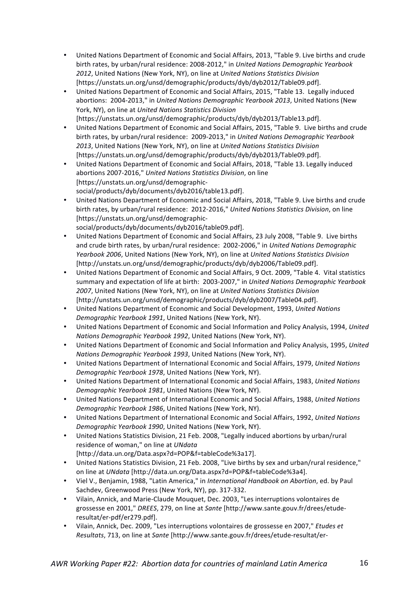- United Nations Department of Economic and Social Affairs, 2013, "Table 9. Live births and crude birth rates, by urban/rural residence: 2008-2012," in *United Nations Demographic Yearbook* 2012, United Nations (New York, NY), on line at *United Nations Statistics Division* [https://unstats.un.org/unsd/demographic/products/dyb/dyb2012/Table09.pdf].
- United Nations Department of Economic and Social Affairs, 2015, "Table 13. Legally induced abortions: 2004-2013," in *United Nations Demographic Yearbook 2013*, United Nations (New York, NY), on line at *United Nations Statistics Division* [https://unstats.un.org/unsd/demographic/products/dyb/dyb2013/Table13.pdf].
- United Nations Department of Economic and Social Affairs, 2015, "Table 9. Live births and crude birth rates, by urban/rural residence: 2009-2013," in *United Nations Demographic Yearbook* 2013, United Nations (New York, NY), on line at *United Nations Statistics Division* [https://unstats.un.org/unsd/demographic/products/dyb/dyb2013/Table09.pdf].
- United Nations Department of Economic and Social Affairs, 2018, "Table 13. Legally induced abortions 2007-2016," United Nations Statistics Division, on line [https://unstats.un.org/unsd/demographicsocial/products/dyb/documents/dyb2016/table13.pdf].
- United Nations Department of Economic and Social Affairs, 2018, "Table 9. Live births and crude birth rates, by urban/rural residence: 2012-2016," United Nations Statistics Division, on line [https://unstats.un.org/unsd/demographicsocial/products/dyb/documents/dyb2016/table09.pdf].
- United Nations Department of Economic and Social Affairs, 23 July 2008, "Table 9. Live births and crude birth rates, by urban/rural residence: 2002-2006," in *United Nations Demographic Yearbook 2006*, United Nations (New York, NY), on line at *United Nations Statistics Division* [http://unstats.un.org/unsd/demographic/products/dyb/dyb2006/Table09.pdf].
- United Nations Department of Economic and Social Affairs, 9 Oct. 2009, "Table 4. Vital statistics summary and expectation of life at birth: 2003-2007," in *United Nations Demographic Yearbook* 2007, United Nations (New York, NY), on line at *United Nations Statistics Division* [http://unstats.un.org/unsd/demographic/products/dyb/dyb2007/Table04.pdf].
- United Nations Department of Economic and Social Development, 1993, United Nations *Demographic Yearbook 1991*, United Nations (New York, NY).
- United Nations Department of Economic and Social Information and Policy Analysis, 1994, United *Nations Demographic Yearbook 1992*, United Nations (New York, NY).
- United Nations Department of Economic and Social Information and Policy Analysis, 1995, United *Nations Demographic Yearbook 1993*, United Nations (New York, NY).
- United Nations Department of International Economic and Social Affairs, 1979, *United Nations Demographic Yearbook 1978*, United Nations (New York, NY).
- United Nations Department of International Economic and Social Affairs, 1983, *United Nations Demographic Yearbook 1981*, United Nations (New York, NY).
- United Nations Department of International Economic and Social Affairs, 1988, *United Nations Demographic Yearbook 1986*, United Nations (New York, NY).
- United Nations Department of International Economic and Social Affairs, 1992, United Nations *Demographic Yearbook 1990, United Nations (New York, NY).*
- United Nations Statistics Division, 21 Feb. 2008, "Legally induced abortions by urban/rural residence of woman," on line at *UNdata*
- [http://data.un.org/Data.aspx?d=POP&f=tableCode%3a17].
- United Nations Statistics Division, 21 Feb. 2008, "Live births by sex and urban/rural residence," on line at *UNdata* [http://data.un.org/Data.aspx?d=POP&f=tableCode%3a4].
- Viel V., Benjamin, 1988, "Latin America," in *International Handbook on Abortion*, ed. by Paul Sachdev, Greenwood Press (New York, NY), pp. 317-332.
- Vilain, Annick, and Marie-Claude Mouquet, Dec. 2003, "Les interruptions volontaires de grossesse en 2001," *DREES*, 279, on line at *Sante* [http://www.sante.gouv.fr/drees/etuderesultat/er-pdf/er279.pdf].
- Vilain, Annick, Dec. 2009, "Les interruptions volontaires de grossesse en 2007," *Etudes et Resultats*, 713, on line at *Sante* [http://www.sante.gouv.fr/drees/etude-resultat/er-